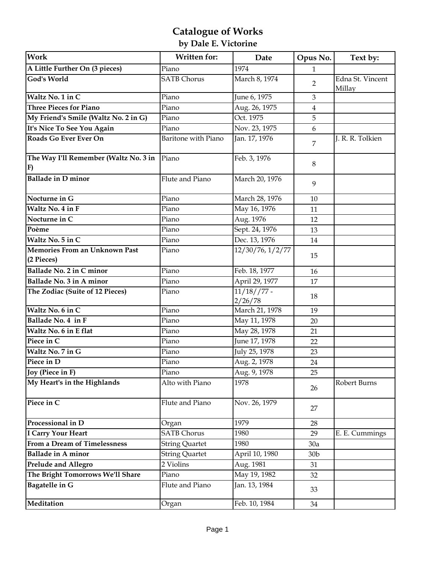# **Catalogue of Works**

## **by Dale E. Victorine**

| <b>Work</b>                                        | Written for:          | Date                     | Opus No.         | Text by:                   |
|----------------------------------------------------|-----------------------|--------------------------|------------------|----------------------------|
| A Little Further On (3 pieces)                     | Piano                 | 1974                     | $\mathbf{1}$     |                            |
| <b>God's World</b>                                 | <b>SATB Chorus</b>    | March 8, 1974            | $\overline{2}$   | Edna St. Vincent<br>Millay |
| Waltz No. 1 in C                                   | Piano                 | June 6, 1975             | 3                |                            |
| <b>Three Pieces for Piano</b>                      | Piano                 | Aug. 26, 1975            | $\overline{4}$   |                            |
| My Friend's Smile (Waltz No. 2 in G)               | Piano                 | Oct. 1975                | 5                |                            |
| It's Nice To See You Again                         | Piano                 | Nov. 23, 1975            | $\boldsymbol{6}$ |                            |
| Roads Go Ever Ever On                              | Baritone with Piano   | Jan. 17, 1976            | 7                | J. R. R. Tolkien           |
| The Way I'll Remember (Waltz No. 3 in<br>F)        | Piano                 | Feb. 3, 1976             | 8                |                            |
| <b>Ballade in D minor</b>                          | Flute and Piano       | March 20, 1976           | 9                |                            |
| Nocturne in G                                      | Piano                 | March 28, 1976           | 10               |                            |
| Waltz No. 4 in F                                   | Piano                 | May 16, 1976             | 11               |                            |
| Nocturne in C                                      | Piano                 | Aug. 1976                | 12               |                            |
| Poème                                              | Piano                 | Sept. 24, 1976           | 13               |                            |
| Waltz No. 5 in C                                   | Piano                 | Dec. 13, 1976            | 14               |                            |
| <b>Memories From an Unknown Past</b><br>(2 Pieces) | Piano                 | 12/30/76, 1/2/77         | 15               |                            |
| Ballade No. 2 in C minor                           | Piano                 | Feb. 18, 1977            | 16               |                            |
| Ballade No. 3 in A minor                           | Piano                 | April 29, 1977           | 17               |                            |
| The Zodiac (Suite of 12 Pieces)                    | Piano                 | $11/18//77 -$<br>2/26/78 | 18               |                            |
| Waltz No. 6 in C                                   | Piano                 | March 21, 1978           | 19               |                            |
| Ballade No. 4 in F                                 | Piano                 | May 11, 1978             | 20               |                            |
| Waltz No. 6 in E flat                              | Piano                 | May 28, 1978             | 21               |                            |
| Piece in C                                         | Piano                 | June 17, 1978            | 22               |                            |
| Waltz No. 7 in G                                   | Piano                 | July 25, 1978            | 23               |                            |
| Piece in D                                         | Piano                 | Aug. 2, 1978             | 24               |                            |
| [Joy (Piece in F)                                  | Piano                 | Aug. 9, 1978             | 25               |                            |
| My Heart's in the Highlands                        | Alto with Piano       | 1978                     | 26               | Robert Burns               |
| Piece in C                                         | Flute and Piano       | Nov. 26, 1979            | 27               |                            |
| Processional in $\overline{D}$                     | Organ                 | 1979                     | 28               |                            |
| <b>I Carry Your Heart</b>                          | <b>SATB</b> Chorus    | 1980                     | 29               | E. E. Cummings             |
| From a Dream of Timelessness                       | <b>String Quartet</b> | 1980                     | 30a              |                            |
| <b>Ballade in A minor</b>                          | <b>String Quartet</b> | April 10, 1980           | 30 <sub>b</sub>  |                            |
| <b>Prelude and Allegro</b>                         | 2 Violins             | Aug. 1981                | 31               |                            |
| The Bright Tomorrows We'll Share                   | Piano                 | May 19, 1982             | 32               |                            |
| <b>Bagatelle in G</b>                              | Flute and Piano       | Jan. 13, 1984            | 33               |                            |
| Meditation                                         | Organ                 | Feb. 10, 1984            | 34               |                            |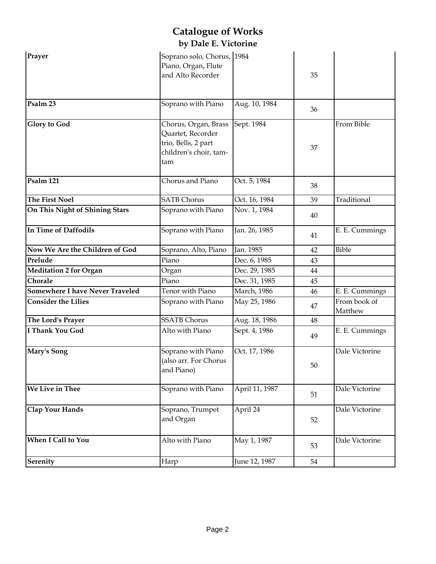| Prayer                          | Soprano solo, Chorus, 1984<br>Piano, Organ, Flute<br>and Alto Recorder                            |                     | 35 |                         |
|---------------------------------|---------------------------------------------------------------------------------------------------|---------------------|----|-------------------------|
| Psalm 23                        | Soprano with Piano                                                                                | Aug. 10, 1984       | 36 |                         |
| <b>Glory to God</b>             | Chorus, Organ, Brass<br>Quartet, Recorder<br>trio, Bells, 2 part<br>children's choir, tam-<br>tam | Sept. 1984          | 37 | From Bible              |
| Psalm 121                       | Chorus and Piano                                                                                  | Oct. 5, 1984        | 38 |                         |
| <b>The First Noel</b>           | <b>SATB Chorus</b>                                                                                | Oct. 16, 1984       | 39 | Traditional             |
| On This Night of Shining Stars  | Soprano with Piano                                                                                | Nov. 1, 1984        | 40 |                         |
| In Time of Daffodils            | Soprano with Piano                                                                                | Jan. 26, 1985       | 41 | E. E. Cummings          |
| Now We Are the Children of God  | Soprano, Alto, Piano                                                                              | Jan. 1985           | 42 | Bible                   |
| Prelude                         | Piano                                                                                             | Dec. 6, 1985        | 43 |                         |
| <b>Meditation 2 for Organ</b>   | Organ                                                                                             | Dec. 29, 1985       | 44 |                         |
| Chorale                         | Piano                                                                                             | Dec. 31, 1985       | 45 |                         |
| Somewhere I have Never Traveled | Tenor with Piano                                                                                  | <b>March</b> , 1986 | 46 | E. E. Cummings          |
| <b>Consider the Lilies</b>      | Soprano with Piano                                                                                | May 25, 1986        | 47 | From book of<br>Matthew |
| The Lord's Prayer               | <b>SSATB Chorus</b>                                                                               | Aug. 18, 1986       | 48 |                         |
| <b>I Thank You God</b>          | Alto with Piano                                                                                   | Sept. 4, 1986       | 49 | E. E. Cummings          |
| Mary's Song                     | Soprano with Piano<br>(also arr. For Chorus<br>and Piano)                                         | Oct. 17, 1986       | 50 | Dale Victorine          |
| We Live in Thee                 | Soprano with Piano                                                                                | April 11, 1987      | 51 | Dale Victorine          |
| <b>Clap Your Hands</b>          | Soprano, Trumpet<br>and Organ                                                                     | April 24            | 52 | Dale Victorine          |
| When I Call to You              | Alto with Piano                                                                                   | May 1, 1987         | 53 | Dale Victorine          |
| Serenity                        | Harp                                                                                              | June 12, 1987       | 54 |                         |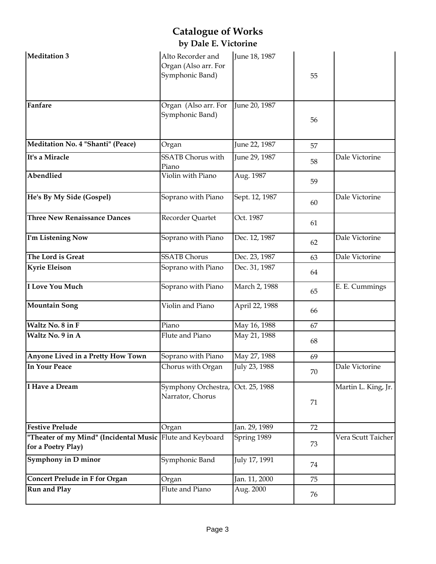| Meditation 3                                                                    | Alto Recorder and<br>Organ (Also arr. For<br>Symphonic Band) | June 18, 1987  | 55 |                     |
|---------------------------------------------------------------------------------|--------------------------------------------------------------|----------------|----|---------------------|
| Fanfare                                                                         | Organ (Also arr. For<br>Symphonic Band)                      | June 20, 1987  | 56 |                     |
| Meditation No. 4 "Shanti" (Peace)                                               | Organ                                                        | June 22, 1987  | 57 |                     |
| It's a Miracle                                                                  | <b>SSATB</b> Chorus with<br>Piano                            | June 29, 1987  | 58 | Dale Victorine      |
| Abendlied                                                                       | Violin with Piano                                            | Aug. 1987      | 59 |                     |
| He's By My Side (Gospel)                                                        | Soprano with Piano                                           | Sept. 12, 1987 | 60 | Dale Victorine      |
| <b>Three New Renaissance Dances</b>                                             | Recorder Quartet                                             | Oct. 1987      | 61 |                     |
| I'm Listening Now                                                               | Soprano with Piano                                           | Dec. 12, 1987  | 62 | Dale Victorine      |
| The Lord is Great                                                               | <b>SSATB Chorus</b>                                          | Dec. 23, 1987  | 63 | Dale Victorine      |
| <b>Kyrie Eleison</b>                                                            | Soprano with Piano                                           | Dec. 31, 1987  | 64 |                     |
| <b>I Love You Much</b>                                                          | Soprano with Piano                                           | March 2, 1988  | 65 | E. E. Cummings      |
| <b>Mountain Song</b>                                                            | Violin and Piano                                             | April 22, 1988 | 66 |                     |
| Waltz No. 8 in F                                                                | Piano                                                        | May 16, 1988   | 67 |                     |
| Waltz No. 9 in A                                                                | Flute and Piano                                              | May 21, 1988   | 68 |                     |
| Anyone Lived in a Pretty How Town                                               | Soprano with Piano                                           | May 27, 1988   | 69 |                     |
| In Your Peace                                                                   | Chorus with Organ                                            | July 23, 1988  | 70 | Dale Victorine      |
| I Have a Dream                                                                  | Symphony Orchestra, Oct. 25, 1988<br>Narrator, Chorus        |                | 71 | Martin L. King, Jr. |
| <b>Festive Prelude</b>                                                          | Organ                                                        | Jan. 29, 1989  | 72 |                     |
| "Theater of my Mind" (Incidental Music Flute and Keyboard<br>for a Poetry Play) |                                                              | Spring 1989    | 73 | Vera Scutt Taicher  |
| Symphony in D minor                                                             | Symphonic Band                                               | July 17, 1991  | 74 |                     |
| <b>Concert Prelude in F for Organ</b>                                           | Organ                                                        | Jan. 11, 2000  | 75 |                     |
| <b>Run and Play</b>                                                             | Flute and Piano                                              | Aug. 2000      | 76 |                     |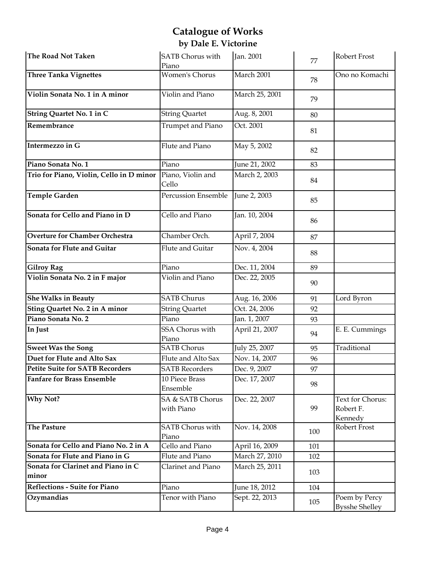| The Road Not Taken                          | <b>SATB Chorus with</b><br>Piano | Jan. 2001      | 77  | Robert Frost                             |
|---------------------------------------------|----------------------------------|----------------|-----|------------------------------------------|
| Three Tanka Vignettes                       | <b>Women's Chorus</b>            | March 2001     | 78  | Ono no Komachi                           |
| Violin Sonata No. 1 in A minor              | Violin and Piano                 | March 25, 2001 | 79  |                                          |
| String Quartet No. 1 in C                   | <b>String Quartet</b>            | Aug. 8, 2001   | 80  |                                          |
| Remembrance                                 | Trumpet and Piano                | Oct. 2001      | 81  |                                          |
| Intermezzo in G                             | Flute and Piano                  | May 5, 2002    | 82  |                                          |
| Piano Sonata No. 1                          | Piano                            | June 21, 2002  | 83  |                                          |
| Trio for Piano, Violin, Cello in D minor    | Piano, Violin and<br>Cello       | March 2, 2003  | 84  |                                          |
| Temple Garden                               | Percussion Ensemble              | June 2, 2003   | 85  |                                          |
| Sonata for Cello and Piano in D             | Cello and Piano                  | Jan. 10, 2004  | 86  |                                          |
| <b>Overture for Chamber Orchestra</b>       | Chamber Orch.                    | April 7, 2004  | 87  |                                          |
| Sonata for Flute and Guitar                 | Flute and Guitar                 | Nov. 4, 2004   | 88  |                                          |
| <b>Gilroy Rag</b>                           | Piano                            | Dec. 11, 2004  | 89  |                                          |
| Violin Sonata No. 2 in F major              | Violin and Piano                 | Dec. 22, 2005  | 90  |                                          |
| <b>She Walks in Beauty</b>                  | <b>SATB Churus</b>               | Aug. 16, 2006  | 91  | Lord Byron                               |
| Sting Quartet No. 2 in A minor              | <b>String Quartet</b>            | Oct. 24, 2006  | 92  |                                          |
| Piano Sonata No. 2                          | Piano                            | Jan. 1, 2007   | 93  |                                          |
| In Just                                     | SSA Chorus with<br>Piano         | April 21, 2007 | 94  | E. E. Cummings                           |
| <b>Sweet Was the Song</b>                   | <b>SATB Chorus</b>               | July 25, 2007  | 95  | Traditional                              |
| Duet for Flute and Alto Sax                 | Flute and Alto Sax               | Nov. 14, 2007  | 96  |                                          |
| <b>Petite Suite for SATB Recorders</b>      | <b>SATB Recorders</b>            | Dec. 9, 2007   | 97  |                                          |
| <b>Fanfare for Brass Ensemble</b>           | 10 Piece Brass<br>Ensemble       | Dec. 17, 2007  | 98  |                                          |
| Why Not?                                    | SA & SATB Chorus<br>with Piano   | Dec. 22, 2007  | 99  | Text for Chorus:<br>Robert F.<br>Kennedy |
| The Pasture                                 | <b>SATB Chorus with</b><br>Piano | Nov. 14, 2008  | 100 | Robert Frost                             |
| Sonata for Cello and Piano No. 2 in A       | Cello and Piano                  | April 16, 2009 | 101 |                                          |
| Sonata for Flute and Piano in G             | Flute and Piano                  | March 27, 2010 | 102 |                                          |
| Sonata for Clarinet and Piano in C<br>minor | Clarinet and Piano               | March 25, 2011 | 103 |                                          |
| Reflections - Suite for Piano               | Piano                            | June 18, 2012  | 104 |                                          |
| Ozymandias                                  | Tenor with Piano                 | Sept. 22, 2013 | 105 | Poem by Percy<br><b>Bysshe Shelley</b>   |